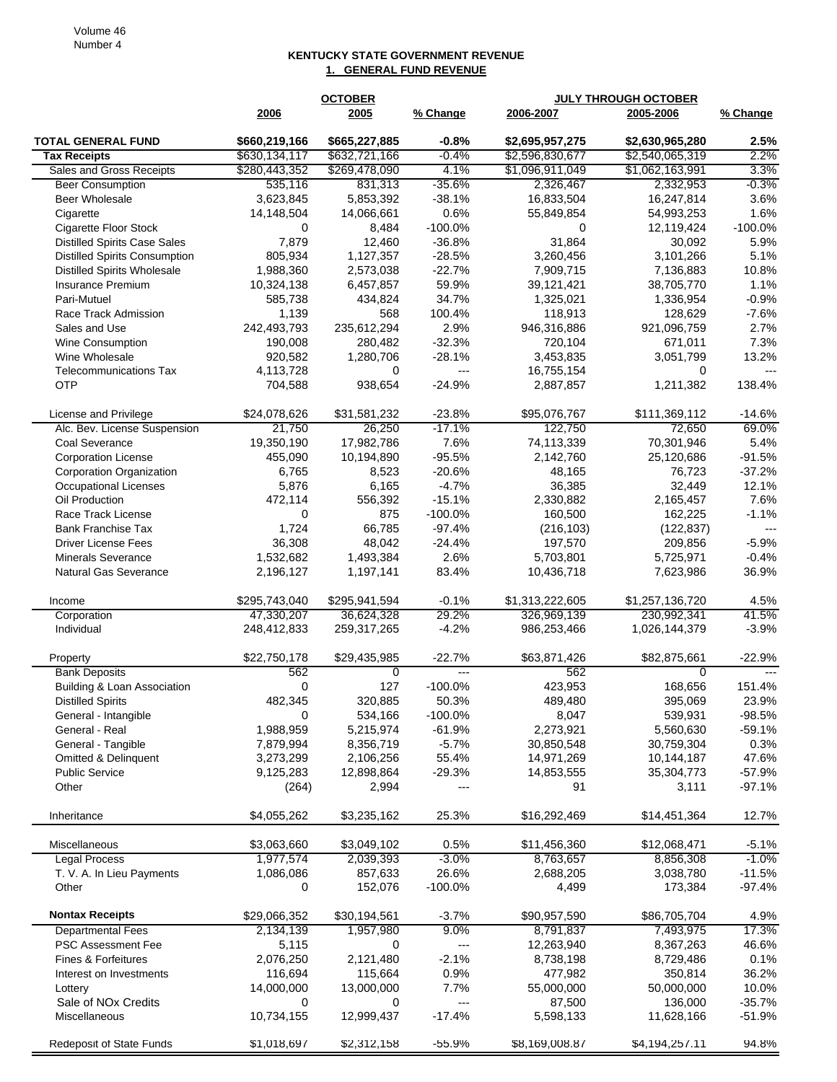## **KENTUCKY STATE GOVERNMENT REVENUE 1. GENERAL FUND REVENUE**

|                                      |                | <b>OCTOBER</b>           |                          | <b>JULY THROUGH OCTOBER</b> |                      |                      |
|--------------------------------------|----------------|--------------------------|--------------------------|-----------------------------|----------------------|----------------------|
|                                      | 2006           | 2005                     | % Change                 | 2006-2007                   | 2005-2006            | % Change             |
| <b>TOTAL GENERAL FUND</b>            | \$660,219,166  | \$665,227,885            | $-0.8%$                  | \$2,695,957,275             | \$2,630,965,280      | 2.5%                 |
| <b>Tax Receipts</b>                  | \$630,134,117  | \$632,721,166            | $-0.4%$                  | \$2,596,830,677             | \$2,540,065,319      | 2.2%                 |
| Sales and Gross Receipts             | \$280,443,352  | \$269,478,090            | 4.1%                     | \$1,096,911,049             | \$1,062,163,991      | 3.3%                 |
| <b>Beer Consumption</b>              | 535,116        | 831,313                  | $-35.6%$                 | 2,326,467                   | 2,332,953            | $-0.3%$              |
| Beer Wholesale                       | 3,623,845      | 5,853,392                | $-38.1%$                 | 16,833,504                  | 16,247,814           | 3.6%                 |
| Cigarette                            | 14,148,504     | 14,066,661               | 0.6%                     | 55,849,854                  | 54,993,253           | 1.6%                 |
| Cigarette Floor Stock                | 0              | 8,484                    | $-100.0%$                | 0                           | 12,119,424           | $-100.0%$            |
| <b>Distilled Spirits Case Sales</b>  | 7,879          | 12,460                   | $-36.8%$                 | 31,864                      | 30,092               | 5.9%                 |
| <b>Distilled Spirits Consumption</b> | 805,934        | 1,127,357                | $-28.5%$                 | 3,260,456                   | 3,101,266            | 5.1%                 |
| <b>Distilled Spirits Wholesale</b>   | 1,988,360      | 2,573,038                | $-22.7%$                 | 7,909,715                   | 7,136,883            | 10.8%                |
| Insurance Premium                    | 10,324,138     | 6,457,857                | 59.9%                    | 39,121,421                  | 38,705,770           | 1.1%                 |
| Pari-Mutuel                          | 585,738        | 434,824                  | 34.7%                    | 1,325,021                   | 1,336,954            | $-0.9%$              |
| Race Track Admission                 | 1,139          | 568                      | 100.4%                   | 118,913                     | 128,629              | $-7.6%$              |
| Sales and Use                        | 242,493,793    | 235,612,294              | 2.9%                     | 946,316,886                 | 921,096,759          | 2.7%                 |
| <b>Wine Consumption</b>              | 190,008        | 280,482                  | $-32.3%$                 | 720,104                     | 671,011              | 7.3%                 |
| Wine Wholesale                       | 920,582        | 1,280,706                | $-28.1%$                 | 3,453,835                   | 3,051,799            | 13.2%                |
| <b>Telecommunications Tax</b>        | 4,113,728      | 0                        | ---                      | 16,755,154                  | 0                    | $---$                |
| <b>OTP</b>                           | 704,588        | 938,654                  | $-24.9%$                 | 2,887,857                   | 1,211,382            | 138.4%               |
| License and Privilege                | \$24,078,626   | \$31,581,232             | $-23.8%$                 | \$95,076,767                | \$111,369,112        | $-14.6%$             |
| Alc. Bev. License Suspension         | 21,750         | 26,250                   | $-17.1%$                 | 122,750                     | 72,650               | 69.0%                |
| Coal Severance                       | 19,350,190     | 17,982,786               | 7.6%                     | 74,113,339                  | 70,301,946           | 5.4%                 |
| <b>Corporation License</b>           | 455,090        | 10,194,890               | $-95.5%$                 | 2,142,760                   | 25,120,686           | $-91.5%$             |
| Corporation Organization             | 6,765          | 8,523                    | $-20.6%$                 | 48,165                      | 76,723               | $-37.2%$             |
| Occupational Licenses                | 5,876          | 6,165                    | $-4.7%$                  | 36,385                      | 32,449               | 12.1%                |
| Oil Production                       | 472,114        | 556,392                  | $-15.1%$                 | 2,330,882                   | 2,165,457            | 7.6%                 |
| Race Track License                   | 0              | 875                      | $-100.0%$                | 160,500                     | 162,225              | $-1.1%$              |
| <b>Bank Franchise Tax</b>            | 1,724          | 66,785                   | $-97.4%$                 | (216, 103)                  | (122, 837)           | $\overline{a}$       |
| <b>Driver License Fees</b>           | 36,308         | 48,042                   | $-24.4%$                 | 197,570                     | 209,856              | $-5.9%$              |
| <b>Minerals Severance</b>            | 1,532,682      | 1,493,384                | 2.6%                     | 5,703,801                   | 5,725,971            | $-0.4%$              |
| <b>Natural Gas Severance</b>         | 2,196,127      | 1,197,141                | 83.4%                    | 10,436,718                  | 7,623,986            | 36.9%                |
| Income                               | \$295,743,040  | \$295,941,594            | $-0.1%$                  | \$1,313,222,605             | \$1,257,136,720      | 4.5%                 |
| Corporation                          | 47,330,207     | 36,624,328               | 29.2%                    | 326,969,139                 | 230,992,341          | 41.5%                |
| Individual                           | 248,412,833    | 259,317,265              | $-4.2%$                  | 986,253,466                 | 1,026,144,379        | $-3.9%$              |
| Property                             | \$22,750,178   | \$29,435,985             | $-22.7%$                 | \$63,871,426                | \$82,875,661         | $-22.9%$             |
| <b>Bank Deposits</b>                 | 562            | 0                        | ---                      | 562                         | $\Omega$             | $---$                |
| Building & Loan Association          | 0              | 127                      | $-100.0%$                | 423,953                     | 168,656              | 151.4%               |
| <b>Distilled Spirits</b>             | 482,345        | 320,885                  | 50.3%                    | 489,480                     | 395,069              | 23.9%                |
| General - Intangible                 | 0              | 534,166                  | $-100.0\%$               | 8,047                       | 539,931              | -98.5%               |
| General - Real                       | 1,988,959      | 5,215,974                | $-61.9%$                 | 2,273,921                   | 5,560,630            | -59.1%               |
| General - Tangible                   | 7,879,994      | 8,356,719                | $-5.7%$                  | 30,850,548                  | 30,759,304           | 0.3%                 |
| Omitted & Delinquent                 | 3,273,299      | 2,106,256                | 55.4%                    | 14,971,269                  | 10,144,187           | 47.6%                |
| <b>Public Service</b>                | 9,125,283      | 12,898,864               | $-29.3%$                 | 14,853,555                  | 35,304,773           | $-57.9%$             |
| Other                                | (264)          | 2,994                    | ---                      | 91                          | 3,111                | $-97.1%$             |
| Inheritance                          | \$4,055,262    | \$3,235,162              | 25.3%                    | \$16,292,469                | \$14,451,364         | 12.7%                |
|                                      | \$3,063,660    |                          | 0.5%                     |                             |                      |                      |
| Miscellaneous                        | 1,977,574      | \$3,049,102<br>2,039,393 | $-3.0\%$                 | \$11,456,360<br>8,763,657   | \$12,068,471         | $-5.1%$<br>$-1.0\%$  |
| <b>Legal Process</b>                 |                |                          |                          | 2,688,205                   | 8,856,308            |                      |
| T. V. A. In Lieu Payments<br>Other   | 1,086,086<br>0 | 857,633<br>152,076       | 26.6%<br>$-100.0%$       | 4,499                       | 3,038,780<br>173,384 | $-11.5%$<br>$-97.4%$ |
| <b>Nontax Receipts</b>               |                |                          |                          |                             |                      |                      |
|                                      | \$29,066,352   | \$30,194,561             | -3.7%                    | \$90,957,590                | \$86,705,704         | 4.9%                 |
| <b>Departmental Fees</b>             | 2,134,139      | 1,957,980                | 9.0%                     | 8,791,837                   | 7,493,975            | 17.3%                |
| <b>PSC Assessment Fee</b>            | 5,115          | 0                        | $\overline{\phantom{a}}$ | 12,263,940                  | 8,367,263            | 46.6%                |
| Fines & Forfeitures                  | 2,076,250      | 2,121,480                | $-2.1%$                  | 8,738,198                   | 8,729,486            | 0.1%                 |
| Interest on Investments              | 116,694        | 115,664                  | 0.9%                     | 477,982                     | 350,814              | 36.2%                |
| Lottery                              | 14,000,000     | 13,000,000               | 7.7%                     | 55,000,000                  | 50,000,000           | 10.0%                |
| Sale of NOx Credits                  | 0              | 0                        | $---$                    | 87,500                      | 136,000              | $-35.7%$             |
| Miscellaneous                        | 10,734,155     | 12,999,437               | $-17.4%$                 | 5,598,133                   | 11,628,166           | $-51.9%$             |
| <b>Redeposit of State Funds</b>      | \$1,018,697    | \$2,312,158              | $-55.9%$                 | \$8,169,008.87              | \$4,194,257.11       | 94.8%                |